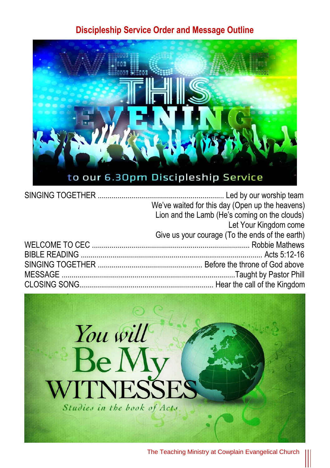#### **Discipleship Service Order and Message Outline**



| We've waited for this day (Open up the heavens) |
|-------------------------------------------------|
| Lion and the Lamb (He's coming on the clouds)   |
| Let Your Kingdom come                           |
| Give us your courage (To the ends of the earth) |
|                                                 |
|                                                 |
|                                                 |
|                                                 |
|                                                 |

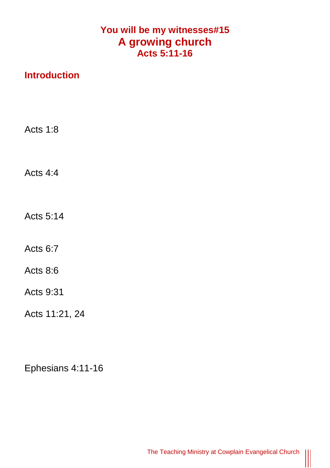## **You will be my witnesses#15 A growing church Acts 5:11-16**

## **Introduction**

Acts 1:8

Acts 4:4

Acts 5:14

Acts 6:7

Acts 8:6

Acts 9:31

Acts 11:21, 24

Ephesians 4:11-16

|||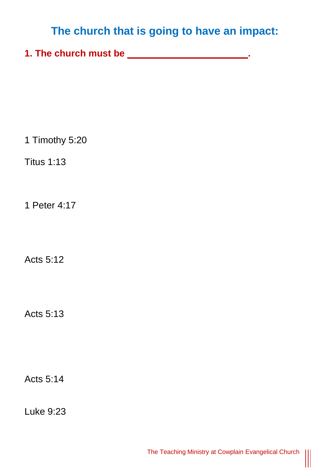# **The church that is going to have an impact:**

**1. The church must be \_\_\_\_\_\_\_\_\_\_\_\_\_\_\_\_\_\_\_\_\_\_\_.** 

1 Timothy 5:20

Titus 1:13

1 Peter 4:17

Acts 5:12

Acts 5:13

Acts 5:14

Luke 9:23